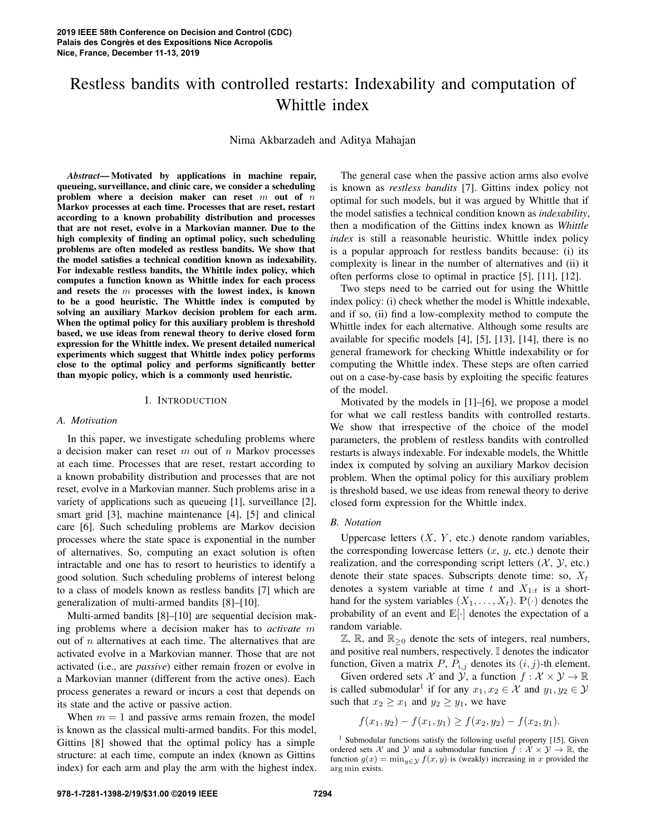# Restless bandits with controlled restarts: Indexability and computation of Whittle index

Nima Akbarzadeh and Aditya Mahajan

*Abstract*— Motivated by applications in machine repair, queueing, surveillance, and clinic care, we consider a scheduling problem where a decision maker can reset  $m$  out of  $n$ Markov processes at each time. Processes that are reset, restart according to a known probability distribution and processes that are not reset, evolve in a Markovian manner. Due to the high complexity of finding an optimal policy, such scheduling problems are often modeled as restless bandits. We show that the model satisfies a technical condition known as indexability. For indexable restless bandits, the Whittle index policy, which computes a function known as Whittle index for each process and resets the  $m$  processes with the lowest index, is known to be a good heuristic. The Whittle index is computed by solving an auxiliary Markov decision problem for each arm. When the optimal policy for this auxiliary problem is threshold based, we use ideas from renewal theory to derive closed form expression for the Whittle index. We present detailed numerical experiments which suggest that Whittle index policy performs close to the optimal policy and performs significantly better than myopic policy, which is a commonly used heuristic.

## I. INTRODUCTION

## *A. Motivation*

In this paper, we investigate scheduling problems where a decision maker can reset  $m$  out of  $n$  Markov processes at each time. Processes that are reset, restart according to a known probability distribution and processes that are not reset, evolve in a Markovian manner. Such problems arise in a variety of applications such as queueing [1], surveillance [2], smart grid [3], machine maintenance [4], [5] and clinical care [6]. Such scheduling problems are Markov decision processes where the state space is exponential in the number of alternatives. So, computing an exact solution is often intractable and one has to resort to heuristics to identify a good solution. Such scheduling problems of interest belong to a class of models known as restless bandits [7] which are generalization of multi-armed bandits [8]–[10].

Multi-armed bandits [8]–[10] are sequential decision making problems where a decision maker has to *activate* m out of  $n$  alternatives at each time. The alternatives that are activated evolve in a Markovian manner. Those that are not activated (i.e., are *passive*) either remain frozen or evolve in a Markovian manner (different from the active ones). Each process generates a reward or incurs a cost that depends on its state and the active or passive action.

When  $m = 1$  and passive arms remain frozen, the model is known as the classical multi-armed bandits. For this model, Gittins [8] showed that the optimal policy has a simple structure: at each time, compute an index (known as Gittins index) for each arm and play the arm with the highest index.

The general case when the passive action arms also evolve is known as *restless bandits* [7]. Gittins index policy not optimal for such models, but it was argued by Whittle that if the model satisfies a technical condition known as *indexability*, then a modification of the Gittins index known as *Whittle index* is still a reasonable heuristic. Whittle index policy is a popular approach for restless bandits because: (i) its complexity is linear in the number of alternatives and (ii) it often performs close to optimal in practice [5], [11], [12].

Two steps need to be carried out for using the Whittle index policy: (i) check whether the model is Whittle indexable, and if so, (ii) find a low-complexity method to compute the Whittle index for each alternative. Although some results are available for specific models [4], [5], [13], [14], there is no general framework for checking Whittle indexability or for computing the Whittle index. These steps are often carried out on a case-by-case basis by exploiting the specific features of the model.

Motivated by the models in [1]–[6], we propose a model for what we call restless bandits with controlled restarts. We show that irrespective of the choice of the model parameters, the problem of restless bandits with controlled restarts is always indexable. For indexable models, the Whittle index ix computed by solving an auxiliary Markov decision problem. When the optimal policy for this auxiliary problem is threshold based, we use ideas from renewal theory to derive closed form expression for the Whittle index.

## *B. Notation*

Uppercase letters  $(X, Y, \text{ etc.})$  denote random variables, the corresponding lowercase letters  $(x, y, \text{ etc.})$  denote their realization, and the corresponding script letters  $(X, Y, etc.)$ denote their state spaces. Subscripts denote time: so,  $X_t$ denotes a system variable at time t and  $X_{1:t}$  is a shorthand for the system variables  $(X_1, \ldots, X_t)$ .  $\mathbb{P}(\cdot)$  denotes the probability of an event and E[·] denotes the expectation of a random variable.

 $\mathbb{Z}, \mathbb{R}$ , and  $\mathbb{R}_{\geq 0}$  denote the sets of integers, real numbers, and positive real numbers, respectively. I denotes the indicator function, Given a matrix P,  $P_{i,j}$  denotes its  $(i, j)$ -th element.

Given ordered sets X and Y, a function  $f : \mathcal{X} \times \mathcal{Y} \to \mathbb{R}$ is called submodular<sup>1</sup> if for any  $x_1, x_2 \in \mathcal{X}$  and  $y_1, y_2 \in \mathcal{Y}$ such that  $x_2 \geq x_1$  and  $y_2 \geq y_1$ , we have

$$
f(x_1, y_2) - f(x_1, y_1) \ge f(x_2, y_2) - f(x_2, y_1).
$$

<sup>1</sup> Submodular functions satisfy the following useful property [15]. Given ordered sets X and Y and a submodular function  $f: \mathcal{X} \times \mathcal{Y} \to \mathbb{R}$ , the function  $g(x) = \min_{y \in \mathcal{Y}} f(x, y)$  is (weakly) increasing in x provided the arg min exists.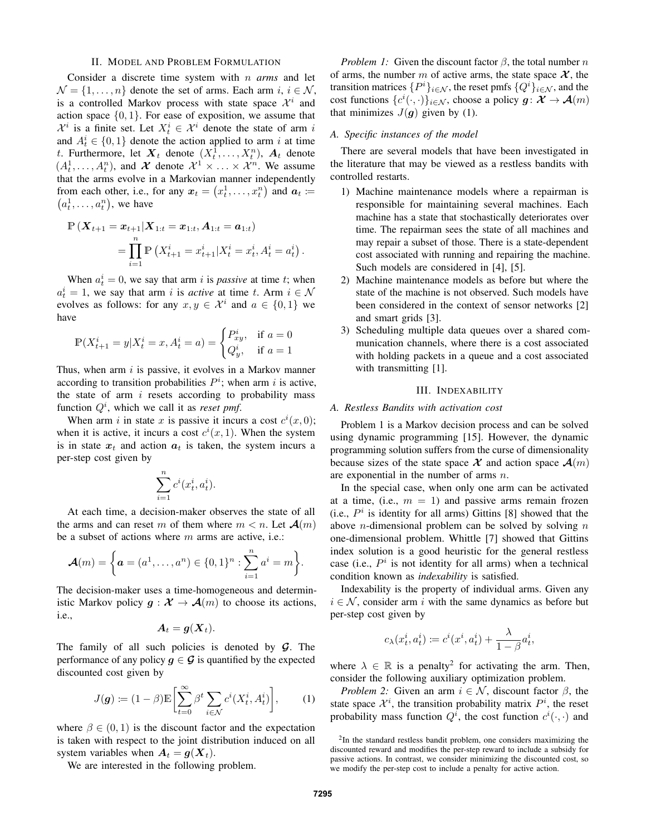## II. MODEL AND PROBLEM FORMULATION

Consider a discrete time system with n *arms* and let  $\mathcal{N} = \{1, \ldots, n\}$  denote the set of arms. Each arm  $i, i \in \mathcal{N}$ , is a controlled Markov process with state space  $\mathcal{X}^i$  and action space  $\{0, 1\}$ . For ease of exposition, we assume that  $\mathcal{X}^i$  is a finite set. Let  $X_t^i \in \mathcal{X}^i$  denote the state of arm i and  $A_t^i \in \{0, 1\}$  denote the action applied to arm i at time t. Furthermore, let  $\boldsymbol{X}_t$  denote  $(X_t^1, \ldots, X_t^n)$ ,  $\boldsymbol{A}_t$  denote  $(A_t^1, \ldots, A_t^n)$ , and X denote  $\mathcal{X}^1 \times \ldots \times \mathcal{X}^n$ . We assume that the arms evolve in a Markovian manner independently from each other, i.e., for any  $x_t = (x_t^1, \dots, x_t^n)$  and  $a_t :=$  $(a_t^1, \ldots, a_t^n)$ , we have

$$
\mathbb{P}\left(\boldsymbol{X}_{t+1} = \boldsymbol{x}_{t+1} | \boldsymbol{X}_{1:t} = \boldsymbol{x}_{1:t}, \boldsymbol{A}_{1:t} = \boldsymbol{a}_{1:t}\right) \n= \prod_{i=1}^{n} \mathbb{P}\left(X_{t+1}^{i} = x_{t+1}^{i} | X_{t}^{i} = x_{t}^{i}, A_{t}^{i} = a_{t}^{i}\right).
$$

When  $a_t^i = 0$ , we say that arm i is *passive* at time t; when  $a_t^i = 1$ , we say that arm i is *active* at time t. Arm  $i \in \mathcal{N}$ evolves as follows: for any  $x, y \in \mathcal{X}^i$  and  $a \in \{0, 1\}$  we have

$$
\mathbb{P}(X_{t+1}^i = y | X_t^i = x, A_t^i = a) = \begin{cases} P_{xy}^i, & \text{if } a = 0\\ Q_y^i, & \text{if } a = 1 \end{cases}
$$

Thus, when arm  $i$  is passive, it evolves in a Markov manner according to transition probabilities  $P^i$ ; when arm i is active, the state of arm  $i$  resets according to probability mass function  $Q^i$ , which we call it as *reset pmf*.

When arm i in state x is passive it incurs a cost  $c^{i}(x,0)$ ; when it is active, it incurs a cost  $c^i(x, 1)$ . When the system is in state  $x_t$  and action  $a_t$  is taken, the system incurs a per-step cost given by

$$
\sum_{i=1}^{n} c^i(x_t^i, a_t^i).
$$

At each time, a decision-maker observes the state of all the arms and can reset m of them where  $m < n$ . Let  $\mathcal{A}(m)$ be a subset of actions where  $m$  arms are active, i.e.:

$$
\mathcal{A}(m) = \left\{ \boldsymbol{a} = (a^1, \dots, a^n) \in \{0, 1\}^n : \sum_{i=1}^n a^i = m \right\}.
$$

The decision-maker uses a time-homogeneous and deterministic Markov policy  $g : \mathcal{X} \to \mathcal{A}(m)$  to choose its actions, i.e.,

$$
\boldsymbol{A}_t = \boldsymbol{g}(\boldsymbol{X}_t).
$$

The family of all such policies is denoted by  $G$ . The performance of any policy  $g \in \mathcal{G}$  is quantified by the expected discounted cost given by

$$
J(\boldsymbol{g}) \coloneqq (1 - \beta) \mathbb{E} \left[ \sum_{t=0}^{\infty} \beta^t \sum_{i \in \mathcal{N}} c^i (X_t^i, A_t^i) \right], \qquad (1)
$$

where  $\beta \in (0,1)$  is the discount factor and the expectation is taken with respect to the joint distribution induced on all system variables when  $A_t = g(X_t)$ .

We are interested in the following problem.

*Problem 1:* Given the discount factor  $\beta$ , the total number n of arms, the number m of active arms, the state space  $\mathcal{X}$ , the transition matrices  $\{P^i\}_{i\in\mathcal{N}}$ , the reset pmfs  $\{Q^i\}_{i\in\mathcal{N}}$ , and the cost functions  $\{c^i(\cdot,\cdot)\}_{i\in\mathcal{N}}$ , choose a policy  $g: \mathcal{X} \to \mathcal{A}(m)$ that minimizes  $J(q)$  given by (1).

## *A. Specific instances of the model*

There are several models that have been investigated in the literature that may be viewed as a restless bandits with controlled restarts.

- 1) Machine maintenance models where a repairman is responsible for maintaining several machines. Each machine has a state that stochastically deteriorates over time. The repairman sees the state of all machines and may repair a subset of those. There is a state-dependent cost associated with running and repairing the machine. Such models are considered in [4], [5].
- 2) Machine maintenance models as before but where the state of the machine is not observed. Such models have been considered in the context of sensor networks [2] and smart grids [3].
- 3) Scheduling multiple data queues over a shared communication channels, where there is a cost associated with holding packets in a queue and a cost associated with transmitting [1].

## III. INDEXABILITY

## *A. Restless Bandits with activation cost*

Problem 1 is a Markov decision process and can be solved using dynamic programming [15]. However, the dynamic programming solution suffers from the curse of dimensionality because sizes of the state space  $\mathcal{X}$  and action space  $\mathcal{A}(m)$ are exponential in the number of arms n.

In the special case, when only one arm can be activated at a time, (i.e.,  $m = 1$ ) and passive arms remain frozen (i.e.,  $P^i$  is identity for all arms) Gittins [8] showed that the above *n*-dimensional problem can be solved by solving *n* one-dimensional problem. Whittle [7] showed that Gittins index solution is a good heuristic for the general restless case (i.e.,  $P^i$  is not identity for all arms) when a technical condition known as *indexability* is satisfied.

Indexability is the property of individual arms. Given any  $i \in \mathcal{N}$ , consider arm i with the same dynamics as before but per-step cost given by

$$
c_{\lambda}(x_t^i, a_t^i) \coloneqq c^i(x^i, a_t^i) + \frac{\lambda}{1 - \beta} a_t^i,
$$

where  $\lambda \in \mathbb{R}$  is a penalty<sup>2</sup> for activating the arm. Then, consider the following auxiliary optimization problem.

*Problem 2:* Given an arm  $i \in \mathcal{N}$ , discount factor  $\beta$ , the state space  $\mathcal{X}^i$ , the transition probability matrix  $P^i$ , the reset probability mass function  $Q^i$ , the cost function  $c^i(\cdot, \cdot)$  and

<sup>&</sup>lt;sup>2</sup>In the standard restless bandit problem, one considers maximizing the discounted reward and modifies the per-step reward to include a subsidy for passive actions. In contrast, we consider minimizing the discounted cost, so we modify the per-step cost to include a penalty for active action.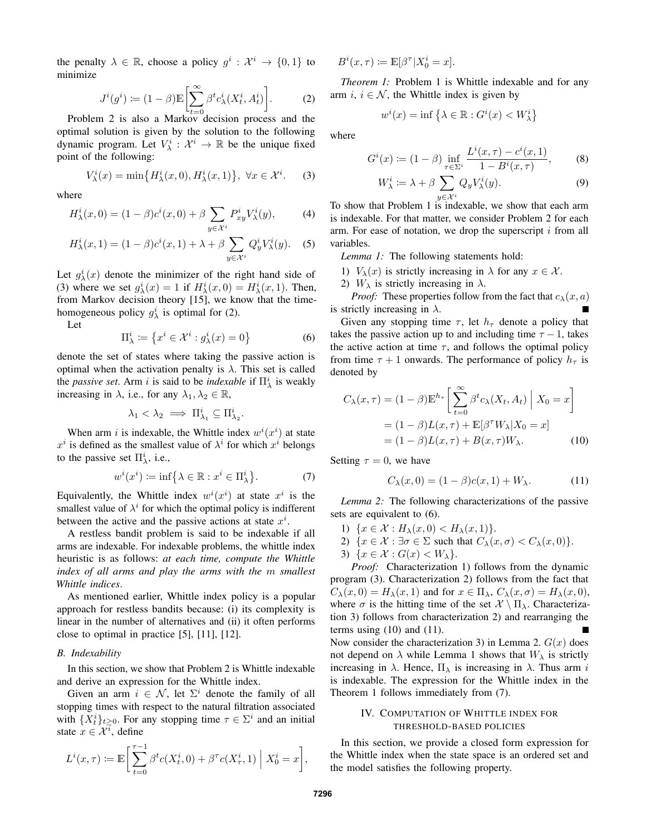the penalty  $\lambda \in \mathbb{R}$ , choose a policy  $g^i : \mathcal{X}^i \to \{0, 1\}$  to minimize

$$
J^{i}(g^{i}) := (1 - \beta) \mathbb{E} \left[ \sum_{t=0}^{\infty} \beta^{t} c_{\lambda}^{i}(X_{t}^{i}, A_{t}^{i}) \right].
$$
 (2)

Problem 2 is also a Markov decision process and the optimal solution is given by the solution to the following dynamic program. Let  $V^i_\lambda$  :  $\mathcal{X}^i \to \mathbb{R}$  be the unique fixed point of the following:

$$
V_{\lambda}^{i}(x) = \min\{H_{\lambda}^{i}(x,0), H_{\lambda}^{i}(x,1)\}, \ \forall x \in \mathcal{X}^{i}.
$$
 (3)

where

$$
H^i_\lambda(x,0) = (1-\beta)c^i(x,0) + \beta \sum_{y \in \mathcal{X}^i} P^i_{xy} V^i_\lambda(y), \tag{4}
$$

$$
H^i_{\lambda}(x,1) = (1-\beta)c^i(x,1) + \lambda + \beta \sum_{y \in \mathcal{X}^i} Q^i_y V^i_{\lambda}(y). \tag{5}
$$

Let  $g^i_\lambda(x)$  denote the minimizer of the right hand side of (3) where we set  $g^i_\lambda(x) = 1$  if  $H^i_\lambda(x, 0) = H^i_\lambda(x, 1)$ . Then, from Markov decision theory [15], we know that the timehomogeneous policy  $g_{\lambda}^{i}$  is optimal for (2).

Let

$$
\Pi^i_{\lambda} := \left\{ x^i \in \mathcal{X}^i : g^i_{\lambda}(x) = 0 \right\} \tag{6}
$$

denote the set of states where taking the passive action is optimal when the activation penalty is  $\lambda$ . This set is called the *passive set*. Arm *i* is said to be *indexable* if  $\Pi^i_\lambda$  is weakly increasing in  $\lambda$ , i.e., for any  $\lambda_1, \lambda_2 \in \mathbb{R}$ ,

$$
\lambda_1 < \lambda_2 \implies \Pi^i_{\lambda_1} \subseteq \Pi^i_{\lambda_2}.
$$

When arm *i* is indexable, the Whittle index  $w^{i}(x^{i})$  at state  $x^i$  is defined as the smallest value of  $\lambda^i$  for which  $x^i$  belongs to the passive set  $\Pi^i_\lambda$ , i.e.,

$$
w^{i}(x^{i}) \coloneqq \inf \left\{ \lambda \in \mathbb{R} : x^{i} \in \Pi_{\lambda}^{i} \right\}.
$$
 (7)

Equivalently, the Whittle index  $w^{i}(x^{i})$  at state  $x^{i}$  is the smallest value of  $\lambda^i$  for which the optimal policy is indifferent between the active and the passive actions at state  $x^i$ .

A restless bandit problem is said to be indexable if all arms are indexable. For indexable problems, the whittle index heuristic is as follows: *at each time, compute the Whittle index of all arms and play the arms with the* m *smallest Whittle indices*.

As mentioned earlier, Whittle index policy is a popular approach for restless bandits because: (i) its complexity is linear in the number of alternatives and (ii) it often performs close to optimal in practice [5], [11], [12].

## *B. Indexability*

In this section, we show that Problem 2 is Whittle indexable and derive an expression for the Whittle index.

Given an arm  $i \in \mathcal{N}$ , let  $\Sigma^i$  denote the family of all stopping times with respect to the natural filtration associated with  $\{X_t^i\}_{t\geq 0}$ . For any stopping time  $\tau \in \Sigma^i$  and an initial state  $x \in \mathcal{X}^{\overline{i}}$ , define

$$
L^{i}(x,\tau) \coloneqq \mathbb{E}\bigg[\sum_{t=0}^{\tau-1} \beta^{t} c(X^{i}_{t},0) + \beta^{\tau} c(X^{i}_{\tau},1) \mid X^{i}_{0} = x\bigg],
$$

 $B^i(x,\tau) := \mathbb{E}[\beta^{\tau} | X_0^i = x].$ 

*Theorem 1:* Problem 1 is Whittle indexable and for any arm i,  $i \in \mathcal{N}$ , the Whittle index is given by

$$
w^{i}(x) = \inf \left\{ \lambda \in \mathbb{R} : G^{i}(x) < W_{\lambda}^{i} \right\}
$$

where

$$
G^{i}(x) := (1 - \beta) \inf_{\tau \in \Sigma^{i}} \frac{L^{i}(x, \tau) - c^{i}(x, 1)}{1 - B^{i}(x, \tau)},
$$
(8)

$$
W_{\lambda}^{i} := \lambda + \beta \sum_{y \in \mathcal{X}^{i}} Q_{y} V_{\lambda}^{i}(y).
$$
 (9)

To show that Problem 1 is indexable, we show that each arm is indexable. For that matter, we consider Problem 2 for each arm. For ease of notation, we drop the superscript  $i$  from all variables.

*Lemma 1:* The following statements hold:

- 1)  $V_{\lambda}(x)$  is strictly increasing in  $\lambda$  for any  $x \in \mathcal{X}$ .
- 2)  $W_{\lambda}$  is strictly increasing in  $\lambda$ .

*Proof:* These properties follow from the fact that  $c_{\lambda}(x, a)$ is strictly increasing in  $\lambda$ .

Given any stopping time  $\tau$ , let  $h_{\tau}$  denote a policy that takes the passive action up to and including time  $\tau - 1$ , takes the active action at time  $\tau$ , and follows the optimal policy from time  $\tau + 1$  onwards. The performance of policy  $h_{\tau}$  is denoted by

$$
C_{\lambda}(x,\tau) = (1-\beta)\mathbb{E}^{h_{\tau}}\left[\sum_{t=0}^{\infty} \beta^{t} c_{\lambda}(X_{t}, A_{t}) \mid X_{0} = x\right]
$$

$$
= (1-\beta)L(x,\tau) + \mathbb{E}[\beta^{\tau}W_{\lambda}|X_{0} = x]
$$

$$
= (1-\beta)L(x,\tau) + B(x,\tau)W_{\lambda}.
$$
 (10)

Setting  $\tau = 0$ , we have

$$
C_{\lambda}(x,0) = (1 - \beta)c(x,1) + W_{\lambda}.
$$
 (11)

*Lemma 2:* The following characterizations of the passive sets are equivalent to (6).

- 1)  $\{x \in \mathcal{X} : H_{\lambda}(x,0) < H_{\lambda}(x,1)\}.$
- 2)  $\{x \in \mathcal{X} : \exists \sigma \in \Sigma \text{ such that } C_{\lambda}(x, \sigma) < C_{\lambda}(x, 0)\}.$
- 3)  $\{x \in \mathcal{X} : G(x) < W_\lambda\}.$

*Proof:* Characterization 1) follows from the dynamic program (3). Characterization 2) follows from the fact that  $C_{\lambda}(x,0) = H_{\lambda}(x,1)$  and for  $x \in \Pi_{\lambda}$ ,  $C_{\lambda}(x,\sigma) = H_{\lambda}(x,0)$ , where  $\sigma$  is the hitting time of the set  $\mathcal{X} \setminus \Pi_{\lambda}$ . Characterization 3) follows from characterization 2) and rearranging the terms using  $(10)$  and  $(11)$ .

Now consider the characterization 3) in Lemma 2.  $G(x)$  does not depend on  $\lambda$  while Lemma 1 shows that  $W_{\lambda}$  is strictly increasing in  $\lambda$ . Hence,  $\Pi_{\lambda}$  is increasing in  $\lambda$ . Thus arm i is indexable. The expression for the Whittle index in the Theorem 1 follows immediately from (7).

# IV. COMPUTATION OF WHITTLE INDEX FOR THRESHOLD-BASED POLICIES

In this section, we provide a closed form expression for the Whittle index when the state space is an ordered set and the model satisfies the following property.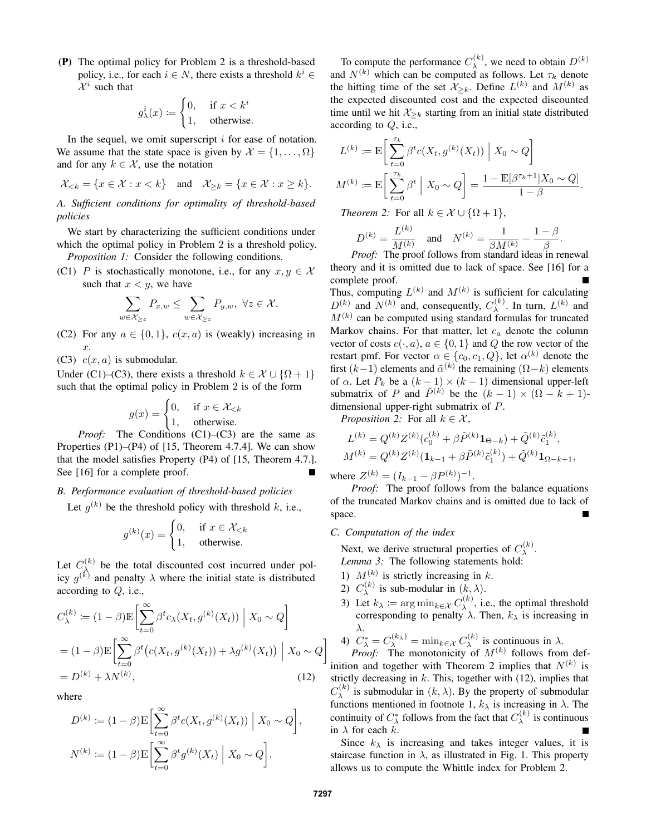(P) The optimal policy for Problem 2 is a threshold-based policy, i.e., for each  $i \in N$ , there exists a threshold  $k^i \in$  $\mathcal{X}^i$  such that

$$
g_{\lambda}^{i}(x) := \begin{cases} 0, & \text{if } x < k^{i} \\ 1, & \text{otherwise.} \end{cases}
$$

In the sequel, we omit superscript  $i$  for ease of notation. We assume that the state space is given by  $\mathcal{X} = \{1, \ldots, \Omega\}$ and for any  $k \in \mathcal{X}$ , use the notation

$$
\mathcal{X}_{
$$

*A. Sufficient conditions for optimality of threshold-based policies*

We start by characterizing the sufficient conditions under which the optimal policy in Problem 2 is a threshold policy. *Proposition 1:* Consider the following conditions.

(C1) P is stochastically monotone, i.e., for any  $x, y \in \mathcal{X}$ such that  $x < y$ , we have

$$
\sum_{w \in \mathcal{X}_{\geq z}} P_{x,w} \leq \sum_{w \in \mathcal{X}_{\geq z}} P_{y,w}, \ \forall z \in \mathcal{X}.
$$

(C2) For any  $a \in \{0, 1\}$ ,  $c(x, a)$  is (weakly) increasing in x.

(C3)  $c(x, a)$  is submodular.

Under (C1)–(C3), there exists a threshold  $k \in \mathcal{X} \cup \{\Omega + 1\}$ such that the optimal policy in Problem 2 is of the form

$$
g(x) = \begin{cases} 0, & \text{if } x \in \mathcal{X}_{< k} \\ 1, & \text{otherwise.} \end{cases}
$$

*Proof:* The Conditions (C1)–(C3) are the same as Properties (P1)–(P4) of [15, Theorem 4.7.4]. We can show that the model satisfies Property (P4) of [15, Theorem 4.7.]. See [16] for a complete proof.

## *B. Performance evaluation of threshold-based policies*

Let  $g^{(k)}$  be the threshold policy with threshold k, i.e.,

$$
g^{(k)}(x) = \begin{cases} 0, & \text{if } x \in \mathcal{X}_{< k} \\ 1, & \text{otherwise.} \end{cases}
$$

Let  $C_{\lambda}^{(k)}$  be the total discounted cost incurred under pol-Let  $C_\lambda$  be the total discounted cost incurred under pol-<br>icy g<sup>(k)</sup> and penalty  $\lambda$  where the initial state is distributed according to Q, i.e.,

$$
C_{\lambda}^{(k)} := (1 - \beta) \mathbb{E} \left[ \sum_{t=0}^{\infty} \beta^{t} c_{\lambda}(X_{t}, g^{(k)}(X_{t})) \middle| X_{0} \sim Q \right]
$$
  
=  $(1 - \beta) \mathbb{E} \left[ \sum_{t=0}^{\infty} \beta^{t} (c(X_{t}, g^{(k)}(X_{t})) + \lambda g^{(k)}(X_{t})) \middle| X_{0} \sim Q \right]$   
=  $D^{(k)} + \lambda N^{(k)},$  (12)

where

$$
D^{(k)} := (1 - \beta) \mathbb{E} \left[ \sum_{t=0}^{\infty} \beta^t c(X_t, g^{(k)}(X_t)) \middle| X_0 \sim Q \right],
$$
  

$$
N^{(k)} := (1 - \beta) \mathbb{E} \left[ \sum_{t=0}^{\infty} \beta^t g^{(k)}(X_t) \middle| X_0 \sim Q \right].
$$

To compute the performance  $C_{\lambda}^{(k)}$  $\lambda^{(k)}$ , we need to obtain  $D^{(k)}$ and  $N^{(k)}$  which can be computed as follows. Let  $\tau_k$  denote the hitting time of the set  $\mathcal{X}_{\geq k}$ . Define  $L^{(k)}$  and  $M^{(k)}$  as the expected discounted cost and the expected discounted time until we hit  $\mathcal{X}_{\geq k}$  starting from an initial state distributed according to Q, i.e.,

$$
L^{(k)} := \mathbb{E}\bigg[\sum_{t=0}^{\tau_k} \beta^t c(X_t, g^{(k)}(X_t)) \mid X_0 \sim Q\bigg]
$$

$$
M^{(k)} := \mathbb{E}\bigg[\sum_{t=0}^{\tau_k} \beta^t \mid X_0 \sim Q\bigg] = \frac{1 - \mathbb{E}[\beta^{\tau_k + 1} | X_0 \sim Q]}{1 - \beta}.
$$

*Theorem 2:* For all  $k \in \mathcal{X} \cup \{ \Omega + 1 \},$ 

$$
D^{(k)} = \frac{L^{(k)}}{M^{(k)}} \quad \text{and} \quad N^{(k)} = \frac{1}{\beta M^{(k)}} - \frac{1 - \beta}{\beta}.
$$

*Proof:* The proof follows from standard ideas in renewal theory and it is omitted due to lack of space. See [16] for a complete proof.

Thus, computing  $L^{(k)}$  and  $M^{(k)}$  is sufficient for calculating  $D^{(k)}$  and  $N^{(k)}$  and, consequently,  $C_{\lambda}^{(k)}$  $\lambda^{(k)}$ . In turn,  $L^{(k)}$  and  $M^{(k)}$  can be computed using standard formulas for truncated Markov chains. For that matter, let  $c_a$  denote the column vector of costs  $c(\cdot, a)$ ,  $a \in \{0, 1\}$  and Q the row vector of the restart pmf. For vector  $\alpha \in \{c_0, c_1, Q\}$ , let  $\alpha^{(k)}$  denote the first  $(k-1)$  elements and  $\tilde{\alpha}^{(k)}$  the remaining  $(\Omega - k)$  elements of  $\alpha$ . Let  $P_k$  be a  $(k-1) \times (k-1)$  dimensional upper-left submatrix of P and  $\tilde{P}^{(k)}$  be the  $(k - 1) \times (\Omega - k + 1)$ dimensional upper-right submatrix of P.

*Proposition 2:* For all  $k \in \mathcal{X}$ ,

$$
L^{(k)} = Q^{(k)} Z^{(k)} (c_0^{(k)} + \beta \tilde{P}^{(k)} \mathbf{1}_{\Theta - k}) + \tilde{Q}^{(k)} \tilde{c}_1^{(k)},
$$
  

$$
M^{(k)} = Q^{(k)} Z^{(k)} (\mathbf{1}_{k-1} + \beta \tilde{P}^{(k)} \tilde{c}_1^{(k)}) + \tilde{Q}^{(k)} \mathbf{1}_{\Omega - k + 1},
$$

where  $Z^{(k)} = (I_{k-1} - \beta P^{(k)})^{-1}$ .

*Proof:* The proof follows from the balance equations of the truncated Markov chains and is omitted due to lack of space.

*C. Computation of the index*

Next, we derive structural properties of  $C_{\lambda}^{(k)}$  $\lambda^{(\kappa)}$ . *Lemma 3:* The following statements hold:

- 1)  $M^{(k)}$  is strictly increasing in k.
- 2)  $C_{\lambda}^{(k)}$  $\lambda^{(k)}$  is sub-modular in  $(k, \lambda)$ .
- 3) Let  $k_{\lambda} := \arg \min_{k \in \mathcal{X}} C_{\lambda}^{(k)}$  $\lambda^{(k)}$ , i.e., the optimal threshold corresponding to penalty  $\lambda$ . Then,  $k_{\lambda}$  is increasing in λ.

4) 
$$
C_{\lambda}^* = C_{\lambda}^{(k_{\lambda})} = \min_{k \in \mathcal{X}} C_{\lambda}^{(k)}
$$
 is continuous in  $\lambda$ .  
*Proof:* The monotonicity of  $M^{(k)}$  follows from def-

inition and together with Theorem 2 implies that  $N^{(k)}$  is strictly decreasing in  $k$ . This, together with (12), implies that  $C_\lambda^{(k)}$  $\lambda^{(k)}$  is submodular in  $(k, \lambda)$ . By the property of submodular functions mentioned in footnote 1,  $k_{\lambda}$  is increasing in  $\lambda$ . The continuity of  $C^*_{\lambda}$  follows from the fact that  $C_{\lambda}^{(k)}$  $\lambda^{(\kappa)}$  is continuous in  $\lambda$  for each  $k$ .

Since  $k_{\lambda}$  is increasing and takes integer values, it is staircase function in  $\lambda$ , as illustrated in Fig. 1. This property allows us to compute the Whittle index for Problem 2.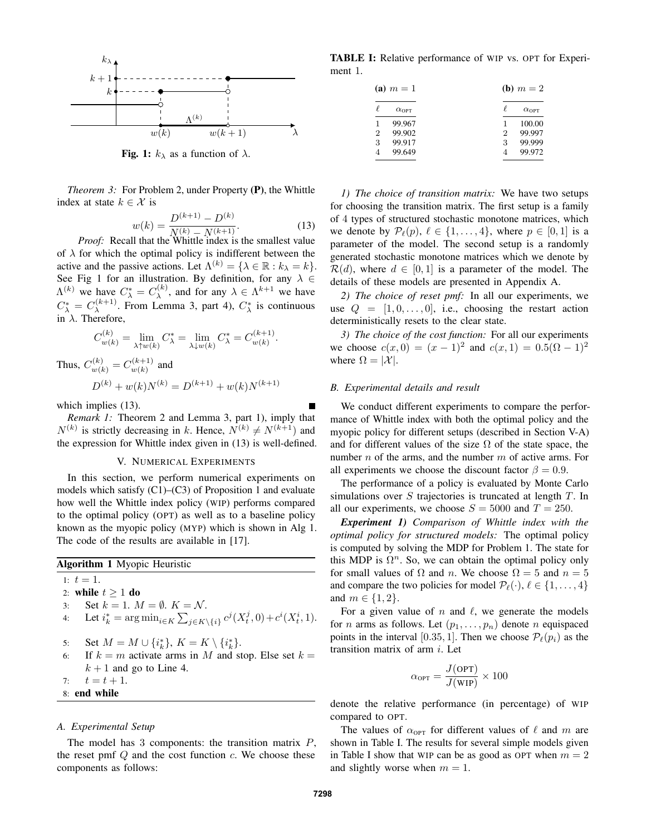

**Fig. 1:**  $k_{\lambda}$  as a function of  $\lambda$ .

*Theorem 3:* For Problem 2, under Property (P), the Whittle index at state  $k \in \mathcal{X}$  is

$$
w(k) = \frac{D^{(k+1)} - D^{(k)}}{N^{(k)} - N^{(k+1)}}.
$$
 (13)  
Proof: Recall that the White index is the smallest value

of  $\lambda$  for which the optimal policy is indifferent between the active and the passive actions. Let  $\Lambda^{(k)} = \{ \lambda \in \mathbb{R} : k_{\lambda} = k \}.$ See Fig 1 for an illustration. By definition, for any  $\lambda \in$  $\Lambda^{(k)}$  we have  $C^*_{\lambda} = C^{(k)}_{\lambda}$  $\lambda^{(k)}$ , and for any  $\lambda \in \Lambda^{k+1}$  we have  $C^*_{\lambda} = C_{\lambda}^{(k+1)}$  $\lambda^{(k+1)}$ . From Lemma 3, part 4),  $C_{\lambda}^{*}$  is continuous in  $\lambda$ . Therefore,

$$
C_{w(k)}^{(k)} = \lim_{\lambda \uparrow w(k)} C_{\lambda}^* = \lim_{\lambda \downarrow w(k)} C_{\lambda}^* = C_{w(k)}^{(k+1)}.
$$
  

$$
C_{w(k)}^{(k)} = C_{w(k)}^{(k+1)}
$$
 and

$$
D^{(k)} + w(k)N^{(k)} = D^{(k+1)} + w(k)N^{(k+1)}
$$

which implies (13).

Thus.

*Remark 1:* Theorem 2 and Lemma 3, part 1), imply that  $N^{(k)}$  is strictly decreasing in k. Hence,  $N^{(k)} \neq N^{(k+1)}$  and the expression for Whittle index given in (13) is well-defined.

### V. NUMERICAL EXPERIMENTS

In this section, we perform numerical experiments on models which satisfy (C1)–(C3) of Proposition 1 and evaluate how well the Whittle index policy (WIP) performs compared to the optimal policy (OPT) as well as to a baseline policy known as the myopic policy (MYP) which is shown in Alg 1. The code of the results are available in [17].

|                     | <b>Algorithm 1</b> Myopic Heuristic                                                                |
|---------------------|----------------------------------------------------------------------------------------------------|
| 1: $t=1$ .          |                                                                                                    |
| 2: while $t > 1$ do |                                                                                                    |
| 3:                  | Set $k = 1$ , $M = \emptyset$ , $K = \mathcal{N}$ .                                                |
|                     | 4: Let $i_k^* = \arg \min_{i \in K} \sum_{j \in K \setminus \{i\}} c^j(X_t^j, 0) + c^i(X_t^i, 1).$ |
| 5:                  | Set $M = M \cup \{i_k^*\}, K = K \setminus \{i_k^*\}.$                                             |
| 6:                  | If $k = m$ activate arms in M and stop. Else set $k =$                                             |
|                     | $k+1$ and go to Line 4.                                                                            |
| 7: $t = t + 1$ .    |                                                                                                    |
| 8: end while        |                                                                                                    |
|                     |                                                                                                    |

## *A. Experimental Setup*

The model has 3 components: the transition matrix  $P$ , the reset pmf  $Q$  and the cost function  $c$ . We choose these components as follows:

TABLE I: Relative performance of WIP vs. OPT for Experiment 1.

| (a) $m = 1$    |                    |                | ( <b>b</b> ) $m = 2$ |
|----------------|--------------------|----------------|----------------------|
|                | $\alpha_{\rm OPT}$ |                | $\alpha_{\rm OPT}$   |
| 1              | 99.967             |                | 100.00               |
| $\overline{2}$ | 99.902             | $\overline{2}$ | 99.997               |
| 3              | 99.917             | 3              | 99.999               |
|                | 99.649             |                | 99.972               |

*1) The choice of transition matrix:* We have two setups for choosing the transition matrix. The first setup is a family of 4 types of structured stochastic monotone matrices, which we denote by  $\mathcal{P}_{\ell}(p), \ell \in \{1, \ldots, 4\}$ , where  $p \in [0, 1]$  is a parameter of the model. The second setup is a randomly generated stochastic monotone matrices which we denote by  $\mathcal{R}(d)$ , where  $d \in [0,1]$  is a parameter of the model. The details of these models are presented in Appendix A.

*2) The choice of reset pmf:* In all our experiments, we use  $Q = [1, 0, \ldots, 0]$ , i.e., choosing the restart action deterministically resets to the clear state.

*3) The choice of the cost function:* For all our experiments we choose  $c(x, 0) = (x - 1)^2$  and  $c(x, 1) = 0.5(\Omega - 1)^2$ where  $\Omega = |\mathcal{X}|$ .

## *B. Experimental details and result*

We conduct different experiments to compare the performance of Whittle index with both the optimal policy and the myopic policy for different setups (described in Section V-A) and for different values of the size  $\Omega$  of the state space, the number  $n$  of the arms, and the number  $m$  of active arms. For all experiments we choose the discount factor  $\beta = 0.9$ .

The performance of a policy is evaluated by Monte Carlo simulations over  $S$  trajectories is truncated at length  $T$ . In all our experiments, we choose  $S = 5000$  and  $T = 250$ .

*Experiment 1) Comparison of Whittle index with the optimal policy for structured models:* The optimal policy is computed by solving the MDP for Problem 1. The state for this MDP is  $\Omega^n$ . So, we can obtain the optimal policy only for small values of  $\Omega$  and n. We choose  $\Omega = 5$  and  $n = 5$ and compare the two policies for model  $\mathcal{P}_{\ell}(\cdot), \ell \in \{1, \ldots, 4\}$ and  $m \in \{1, 2\}$ .

For a given value of n and  $\ell$ , we generate the models for *n* arms as follows. Let  $(p_1, \ldots, p_n)$  denote *n* equispaced points in the interval [0.35, 1]. Then we choose  $P_{\ell}(p_i)$  as the transition matrix of arm  $i$ . Let

$$
\alpha_{\text{OPT}} = \frac{J(\text{OPT})}{J(\text{WIP})} \times 100
$$

denote the relative performance (in percentage) of WIP compared to OPT.

The values of  $\alpha_{\text{OPT}}$  for different values of  $\ell$  and m are shown in Table I. The results for several simple models given in Table I show that WIP can be as good as OPT when  $m = 2$ and slightly worse when  $m = 1$ .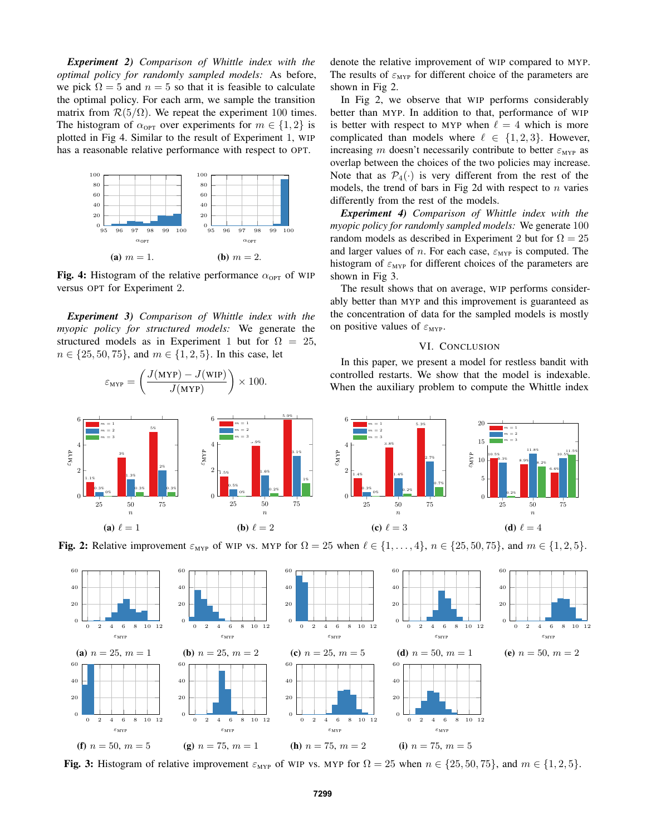*Experiment 2) Comparison of Whittle index with the optimal policy for randomly sampled models:* As before, we pick  $\Omega = 5$  and  $n = 5$  so that it is feasible to calculate the optimal policy. For each arm, we sample the transition matrix from  $\mathcal{R}(5/\Omega)$ . We repeat the experiment 100 times. The histogram of  $\alpha_{\text{OPT}}$  over experiments for  $m \in \{1,2\}$  is plotted in Fig 4. Similar to the result of Experiment 1, WIP has a reasonable relative performance with respect to OPT.



Fig. 4: Histogram of the relative performance  $\alpha_{\text{OPT}}$  of WIP versus OPT for Experiment 2.

*Experiment 3) Comparison of Whittle index with the myopic policy for structured models:* We generate the structured models as in Experiment 1 but for  $\Omega = 25$ ,  $n \in \{25, 50, 75\}$ , and  $m \in \{1, 2, 5\}$ . In this case, let

εMYP

(a)  $\ell = 1$ 

 $\varepsilon_{\text{MYP}} = \left(\frac{J(\text{MYP}) - J(\text{WIP})}{J(\text{MYP})}\right)$  $J(MYP)$  $\big) \times 100.$ 25 50 75 0 2 4 6 1.1% 3% 5% 0.3% 1.3% 2% 0% 0.3% 0.3% n  $m = 1$  $m = 2$  $m = 3$ 25 50 75 0 2 4 6 1.5% 3.9% 5.9% 0.5% 1.6% 3.1% 0% 0.2% 1% n εMYP  $m = 1$  $m = 2$  $m = 3$ 25 50 75 0 2 4 6 1.4% 3.8% 5.3% 0.3% 1.4% 2.7% 0% 0.2% 0.7% n εMYP  $m = 1$  $m = 2$  $m = 3$ 25 50 75 0 5 10 15 20 10.5% 8.9% 6.6% 9.3% 11.8% 10.5% 0.2% 8.2% 11.5% n εMYP  $m = 1$  $m = 2$  $m = 3$ 

Fig. 2: Relative improvement  $\varepsilon_{\text{MYP}}$  of WIP vs. MYP for  $\Omega = 25$  when  $\ell \in \{1, \ldots, 4\}$ ,  $n \in \{25, 50, 75\}$ , and  $m \in \{1, 2, 5\}$ .

(c)  $\ell = 3$ 

(b)  $\ell = 2$ 



Fig. 3: Histogram of relative improvement  $\varepsilon_{\text{MYP}}$  of WIP vs. MYP for  $\Omega = 25$  when  $n \in \{25, 50, 75\}$ , and  $m \in \{1, 2, 5\}$ .

denote the relative improvement of WIP compared to MYP. The results of  $\varepsilon_{\text{MYP}}$  for different choice of the parameters are shown in Fig 2.

In Fig 2, we observe that WIP performs considerably better than MYP. In addition to that, performance of WIP is better with respect to MYP when  $\ell = 4$  which is more complicated than models where  $\ell \in \{1, 2, 3\}$ . However, increasing m doesn't necessarily contribute to better  $\varepsilon_{\text{MYP}}$  as overlap between the choices of the two policies may increase. Note that as  $\mathcal{P}_4(\cdot)$  is very different from the rest of the models, the trend of bars in Fig 2d with respect to  $n$  varies differently from the rest of the models.

*Experiment 4) Comparison of Whittle index with the myopic policy for randomly sampled models:* We generate 100 random models as described in Experiment 2 but for  $\Omega = 25$ and larger values of *n*. For each case,  $\varepsilon_{\text{MYP}}$  is computed. The histogram of  $\varepsilon_{\text{MYP}}$  for different choices of the parameters are shown in Fig 3.

The result shows that on average, WIP performs considerably better than MYP and this improvement is guaranteed as the concentration of data for the sampled models is mostly on positive values of  $\varepsilon_{\text{MYP}}$ .

## VI. CONCLUSION

In this paper, we present a model for restless bandit with controlled restarts. We show that the model is indexable. When the auxiliary problem to compute the Whittle index

(d)  $\ell = 4$